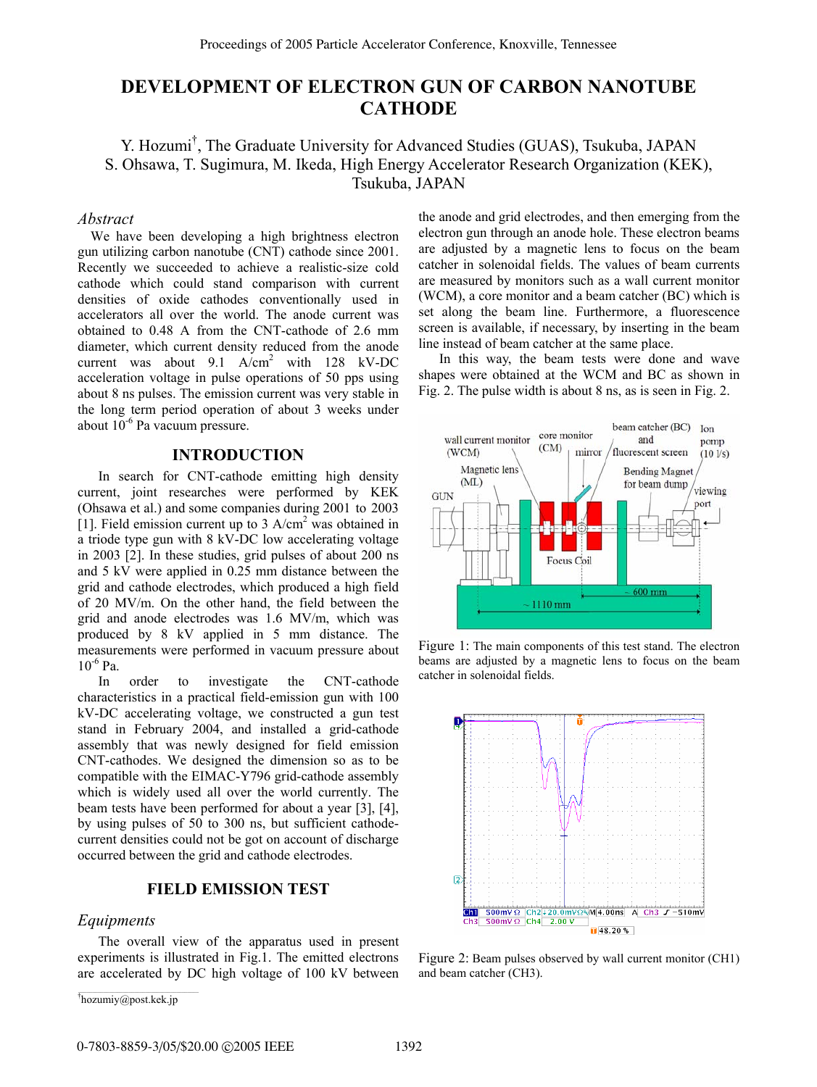# **DEVELOPMENT OF ELECTRON GUN OF CARBON NANOTUBE CATHODE**

Y. Hozumi† , The Graduate University for Advanced Studies (GUAS), Tsukuba, JAPAN S. Ohsawa, T. Sugimura, M. Ikeda, High Energy Accelerator Research Organization (KEK), Tsukuba, JAPAN

# *Abstract*

We have been developing a high brightness electron gun utilizing carbon nanotube (CNT) cathode since 2001. Recently we succeeded to achieve a realistic-size cold cathode which could stand comparison with current densities of oxide cathodes conventionally used in accelerators all over the world. The anode current was obtained to 0.48 A from the CNT-cathode of 2.6 mm diameter, which current density reduced from the anode current was about  $9.1 \text{ A/cm}^2$  with 128 kV-DC acceleration voltage in pulse operations of 50 pps using about 8 ns pulses. The emission current was very stable in the long term period operation of about 3 weeks under about  $10^{-6}$  Pa vacuum pressure.

# **INTRODUCTION**

In search for CNT-cathode emitting high density current, joint researches were performed by KEK (Ohsawa et al.) and some companies during 2001 to 2003 [1]. Field emission current up to  $3$  A/cm<sup>2</sup> was obtained in a triode type gun with 8 kV-DC low accelerating voltage in 2003 [2]. In these studies, grid pulses of about 200 ns and 5 kV were applied in 0.25 mm distance between the grid and cathode electrodes, which produced a high field of 20 MV/m. On the other hand, the field between the grid and anode electrodes was 1.6 MV/m, which was produced by 8 kV applied in 5 mm distance. The measurements were performed in vacuum pressure about  $10^{-6}$  Pa.

In order to investigate the CNT-cathode characteristics in a practical field-emission gun with 100 kV-DC accelerating voltage, we constructed a gun test stand in February 2004, and installed a grid-cathode assembly that was newly designed for field emission CNT-cathodes. We designed the dimension so as to be compatible with the EIMAC-Y796 grid-cathode assembly which is widely used all over the world currently. The beam tests have been performed for about a year [3], [4], by using pulses of 50 to 300 ns, but sufficient cathodecurrent densities could not be got on account of discharge occurred between the grid and cathode electrodes.

# **FIELD EMISSION TEST**

#### *Equipments*

The overall view of the apparatus used in present experiments is illustrated in Fig.1. The emitted electrons are accelerated by DC high voltage of 100 kV between the anode and grid electrodes, and then emerging from the electron gun through an anode hole. These electron beams are adjusted by a magnetic lens to focus on the beam catcher in solenoidal fields. The values of beam currents are measured by monitors such as a wall current monitor (WCM), a core monitor and a beam catcher (BC) which is set along the beam line. Furthermore, a fluorescence screen is available, if necessary, by inserting in the beam line instead of beam catcher at the same place.

In this way, the beam tests were done and wave shapes were obtained at the WCM and BC as shown in Fig. 2. The pulse width is about 8 ns, as is seen in Fig. 2.



Figure 1: The main components of this test stand. The electron beams are adjusted by a magnetic lens to focus on the beam catcher in solenoidal fields.



Figure 2: Beam pulses observed by wall current monitor (CH1) and beam catcher (CH3).

<sup>†</sup> hozumiy@post.kek.jp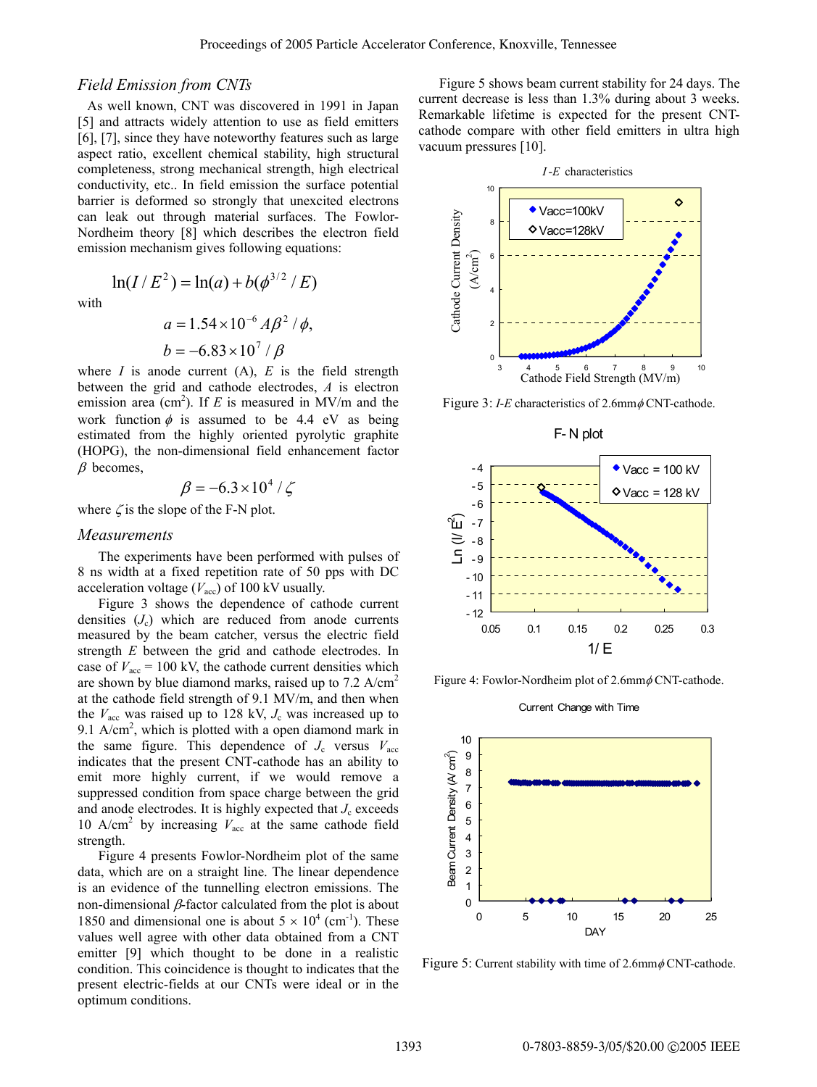#### *Field Emission from CNTs*

 As well known, CNT was discovered in 1991 in Japan [5] and attracts widely attention to use as field emitters [6], [7], since they have noteworthy features such as large aspect ratio, excellent chemical stability, high structural completeness, strong mechanical strength, high electrical conductivity, etc.. In field emission the surface potential barrier is deformed so strongly that unexcited electrons can leak out through material surfaces. The Fowlor-Nordheim theory [8] which describes the electron field emission mechanism gives following equations:

with

$$
a = 1.54 \times 10^{-6} A\beta^{2} / \phi,
$$
  

$$
b = -6.83 \times 10^{7} / \beta
$$

 $ln(I/E^{2}) = ln(a) + b(\phi^{3/2} / E)$ 

where  $I$  is anode current  $(A)$ ,  $E$  is the field strength between the grid and cathode electrodes, *A* is electron emission area (cm<sup>2</sup>). If *E* is measured in MV/m and the work function  $\phi$  is assumed to be 4.4 eV as being estimated from the highly oriented pyrolytic graphite (HOPG), the non-dimensional field enhancement factor  $\beta$  becomes,

$$
\beta = -6.3 \times 10^4 / \zeta
$$

where  $\zeta$  is the slope of the F-N plot.

#### *Measurements*

The experiments have been performed with pulses of 8 ns width at a fixed repetition rate of 50 pps with DC acceleration voltage  $(V_{\text{acc}})$  of 100 kV usually.

Figure 3 shows the dependence of cathode current densities  $(J_c)$  which are reduced from anode currents measured by the beam catcher, versus the electric field strength *E* between the grid and cathode electrodes. In case of  $V_{\text{acc}} = 100 \text{ kV}$ , the cathode current densities which are shown by blue diamond marks, raised up to 7.2 A/cm<sup>2</sup> at the cathode field strength of 9.1 MV/m, and then when the  $V_{\text{acc}}$  was raised up to 128 kV,  $J_c$  was increased up to 9.1 A/cm<sup>2</sup>, which is plotted with a open diamond mark in the same figure. This dependence of  $J_c$  versus  $V_{\text{acc}}$ indicates that the present CNT-cathode has an ability to emit more highly current, if we would remove a suppressed condition from space charge between the grid and anode electrodes. It is highly expected that  $J_c$  exceeds 10 A/cm<sup>2</sup> by increasing  $V_{\text{acc}}$  at the same cathode field strength.

Figure 4 presents Fowlor-Nordheim plot of the same data, which are on a straight line. The linear dependence is an evidence of the tunnelling electron emissions. The non-dimensional  $β$ -factor calculated from the plot is about 1850 and dimensional one is about  $5 \times 10^4$  (cm<sup>-1</sup>). These values well agree with other data obtained from a CNT emitter [9] which thought to be done in a realistic condition. This coincidence is thought to indicates that the present electric-fields at our CNTs were ideal or in the optimum conditions.

Figure 5 shows beam current stability for 24 days. The current decrease is less than 1.3% during about 3 weeks. Remarkable lifetime is expected for the present CNTcathode compare with other field emitters in ultra high vacuum pressures [10].



Figure 3: *I-E* characteristics of 2.6mm  $\phi$  CNT-cathode.



Figure 4: Fowlor-Nordheim plot of 2.6mm  $\phi$  CNT-cathode.

Current Change with Time



Figure 5: Current stability with time of  $2.6$ mm $\phi$ CNT-cathode.